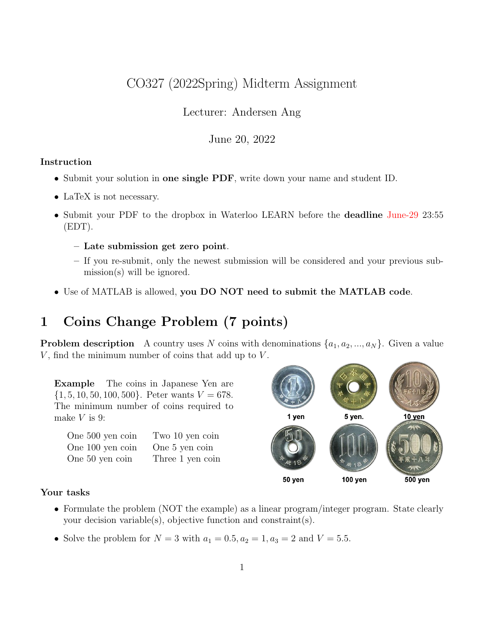# CO327 (2022Spring) Midterm Assignment

Lecturer: Andersen Ang

June 20, 2022

#### Instruction

- Submit your solution in one single PDF, write down your name and student ID.
- LaTeX is not necessary.
- Submit your PDF to the dropbox in Waterloo LEARN before the **deadline** June-29 23:55 (EDT).
	- Late submission get zero point.
	- If you re-submit, only the newest submission will be considered and your previous submission(s) will be ignored.
- Use of MATLAB is allowed, you DO NOT need to submit the MATLAB code.

# 1 Coins Change Problem (7 points)

**Problem description** A country uses N coins with denominations  $\{a_1, a_2, ..., a_N\}$ . Given a value  $V$ , find the minimum number of coins that add up to  $V$ .

Example The coins in Japanese Yen are  $\{1, 5, 10, 50, 100, 500\}$ . Peter wants  $V = 678$ . The minimum number of coins required to make  $V$  is 9:

| One 500 yen coin | Two 10 yen coin  |
|------------------|------------------|
| One 100 yen coin | One 5 yen coin   |
| One 50 yen coin  | Three 1 yen coin |



#### Your tasks

- Formulate the problem (NOT the example) as a linear program/integer program. State clearly your decision variable(s), objective function and constraint(s).
- Solve the problem for  $N = 3$  with  $a_1 = 0.5, a_2 = 1, a_3 = 2$  and  $V = 5.5$ .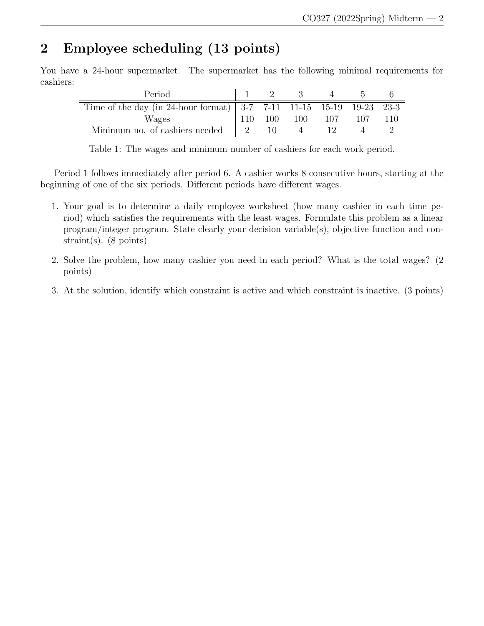# 2 Employee scheduling (13 points)

You have a 24-hour supermarket. The supermarket has the following minimal requirements for cashiers:

| Period                                                                                |                                       |     | - 3- |     |     |  |
|---------------------------------------------------------------------------------------|---------------------------------------|-----|------|-----|-----|--|
| Time of the day (in 24-hour format) $ 3-7 \t 7-11 \t 11-15 \t 15-19 \t 19-23 \t 23-3$ |                                       |     |      |     |     |  |
| Wages                                                                                 | 110                                   | 100 | 100  | 107 | 107 |  |
| Minimum no. of cashiers needed                                                        | $\begin{array}{cc} 1 & 2 \end{array}$ | 10. |      |     |     |  |

Table 1: The wages and minimum number of cashiers for each work period.

Period 1 follows immediately after period 6. A cashier works 8 consecutive hours, starting at the beginning of one of the six periods. Different periods have different wages.

- 1. Your goal is to determine a daily employee worksheet (how many cashier in each time period) which satisfies the requirements with the least wages. Formulate this problem as a linear program/integer program. State clearly your decision variable(s), objective function and constraint(s). (8 points)
- 2. Solve the problem, how many cashier you need in each period? What is the total wages? (2 points)
- 3. At the solution, identify which constraint is active and which constraint is inactive. (3 points)